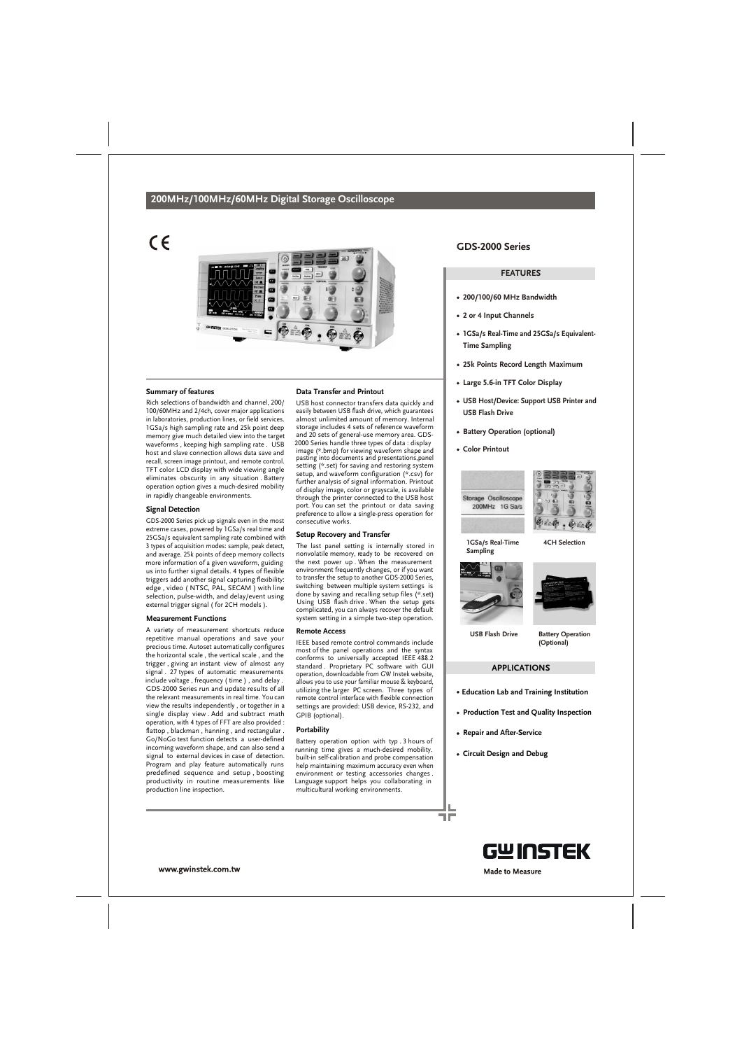## **200MHz/100MHz/60MHz Digital Storage Oscilloscope**

 $\epsilon$ 



## **Summary of features**

Rich selections of bandwidth and channel, 200/ 100/60MHz and 2/4ch, cover major applications in laboratories, production lines, or field services. 1GSa/s high sampling rate and 25k point deep memory give much detailed view into the target waveforms , keeping high sampling rate . USB host and slave connection allows data save and recall, screen image printout, and remote control. TFT color LCD display with wide viewing angle eliminates obscurity in any situation . Battery operation option gives a much-desired mobility in rapidly changeable environments.

## **Signal Detection**

GDS-2000 Series pick up signals even in the most extreme cases, powered by 1GSa/s real time and 25GSa/s equivalent sampling rate combined with 3 types of acquisition modes: sample, peak detect, and average. 25k points of deep memory collects more information of a given waveform, guiding us into further signal details. 4 types of flexible triggers add another signal capturing flexibility: edge , video ( NTSC, PAL, SECAM ) with line selection, pulse-width, and delay/event using external trigger signal ( for 2CH models ).

## **Measurement Functions**

A variety of measurement shortcuts reduce repetitive manual operations and save your precious time. Autoset automatically configures the horizontal scale , the vertical scale , and the trigger , giving an instant view of almost any signal . 27 types of automatic measurements include voltage , frequency ( time ) , and delay . GDS-2000 Series run and update results of all the relevant measurements in real time. You can view the results independently , or together in a single display view . Add and subtract math operation, with 4 types of FFT are also provided : flattop , blackman , hanning , and rectangular . Go/NoGo test function detects a user-defined incoming waveform shape, and can also send a signal to external devices in case of detection. Program and play feature automatically runs predefined sequence and setup , boosting productivity in routine measurements like production line inspection.

## **Data Transfer and Printout**

USB host connector transfers data quickly and easily between USB flash drive, which guarantees almost unlimited amount of memory. Internal storage includes 4 sets of reference waveform and 20 sets of general-use memory area. GDS-2000 Series handle three types of data : display image (\*.bmp) for viewing waveform shape and pasting into documents and presentations,panel setting (\*.set) for saving and restoring system setup, and waveform configuration (\*.csv) for further analysis of signal information. Printout of display image, color or grayscale, is available through the printer connected to the USB host port. You can set the printout or data saving preference to allow a single-press operation for consecutive works.

#### **Setup Recovery and Transfer**

The last panel setting is internally stored in nonvolatile memory, ready to be recovered on the next power up . When the measurement environment frequently changes, or if you want to transfer the setup to another GDS-2000 Series, switching between multiple system settings is done by saving and recalling setup files (\*.set) Using USB flash drive . When the setup gets complicated, you can always recover the default system setting in a simple two-step operation.

## **Remote Access**

IEEE based remote control commands include most of the panel operations and the syntax conforms to universally accepted IEEE 488.2 standard . Proprietary PC software with GUI operation, downloadable from GW Instek website, allows you to use your familiar mouse & keyboard, utilizing the larger PC screen. Three types of remote control interface with flexible connection settings are provided: USB device, RS-232, and GPIB (optional).

#### **Portability**

Battery operation option with typ . 3 hours of running time gives a much-desired mobility. built-in self-calibration and probe compensation help maintaining maximum accuracy even when environment or testing accessories changes . Language support helps you collaborating in multicultural working environments.

## **GDS-2000 Series**

## **FEATURES**

- **200/100/60 MHz Bandwidth**
- **2 or 4 Input Channels**
- **1GSa/s Real-Time and 25GSa/s Equivalent-Time Sampling**
- **25k Points Record Length Maximum**
- **Large 5.6-in TFT Color Display**
- **USB Host/Device: Support USB Printer and USB Flash Drive**
- **Battery Operation (optional)**
- **Color Printout**





**4CH Selection**

**1GSa/s Real-Time Sampling**





**USB Flash Drive**

**Battery Operation (Optional)**

## **APPLICATIONS**

- **Education Lab and Training Institution**
- **Production Test and Quality Inspection**
- **Repair and After-Service**
- **Circuit Design and Debug**